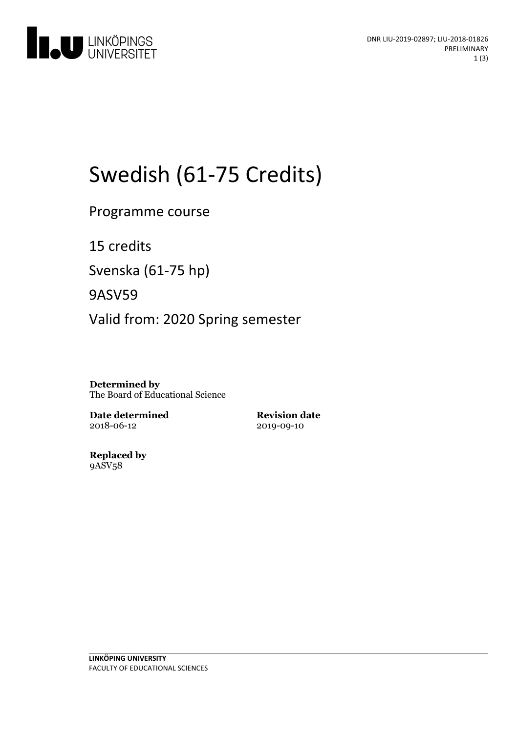

# Swedish (61-75 Credits)

Programme course

15 credits

Svenska(61-75 hp)

9ASV59

Valid from: 2020 Spring semester

**Determined by** The Board of Educational Science

**Date determined** 2018-06-12

**Revision date** 2019-09-10

**Replaced by** 9ASV58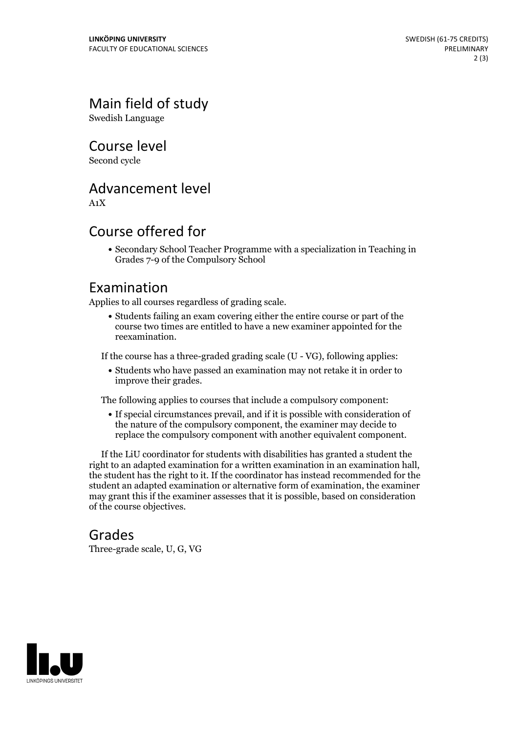Main field of study

Swedish Language

Course level

Second cycle

## Advancement level

A1X

## Course offered for

Secondary School Teacher Programme with a specialization in Teaching in Grades 7-9 of the Compulsory School

#### Examination

Applies to all courses regardless of grading scale.

Students failing an exam covering either the entire course or part of the course two times are entitled to have a new examiner appointed for the reexamination.

If the course has a three-graded grading scale (U - VG), following applies:

Students who have passed an examination may not retake it in order to improve their grades.

The following applies to courses that include a compulsory component:

If special circumstances prevail, and if it is possible with consideration of the nature of the compulsory component, the examiner may decide to replace the compulsory component with another equivalent component.

If the LiU coordinator for students with disabilities has granted a student the right to an adapted examination for <sup>a</sup> written examination in an examination hall, the student has the right to it. If the coordinator has instead recommended for the student an adapted examination or alternative form of examination, the examiner may grant this if the examiner assesses that it is possible, based on consideration of the course objectives.

#### Grades

Three-grade scale, U, G, VG